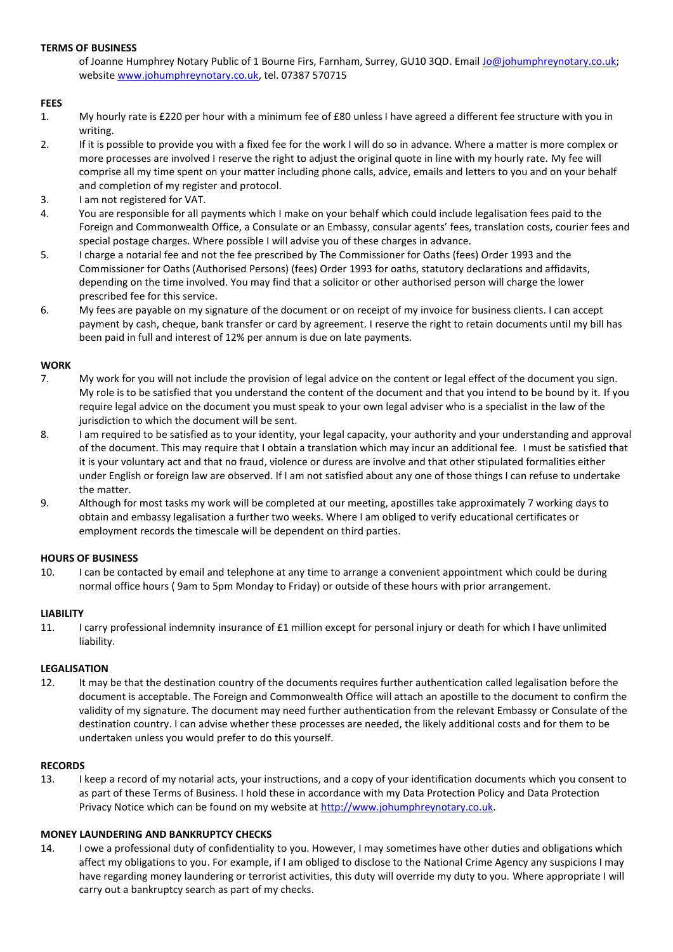### **TERMS OF BUSINESS**

of Joanne Humphrey Notary Public of 1 Bourne Firs, Farnham, Surrey, GU10 3QD. Email [Jo@johumphreynotary.co.uk;](mailto:Jo@johumphreynotary.co.uk) website [www.johumphreynotary.co.uk,](http://www.johumphreynotary.co.uk/) tel. 07387 570715

### **FEES**

- 1. My hourly rate is £220 per hour with a minimum fee of £80 unless I have agreed a different fee structure with you in writing.
- 2. If it is possible to provide you with a fixed fee for the work I will do so in advance. Where a matter is more complex or more processes are involved I reserve the right to adjust the original quote in line with my hourly rate. My fee will comprise all my time spent on your matter including phone calls, advice, emails and letters to you and on your behalf and completion of my register and protocol.
- 3. I am not registered for VAT.
- 4. You are responsible for all payments which I make on your behalf which could include legalisation fees paid to the Foreign and Commonwealth Office, a Consulate or an Embassy, consular agents' fees, translation costs, courier fees and special postage charges. Where possible I will advise you of these charges in advance.
- 5. I charge a notarial fee and not the fee prescribed by The Commissioner for Oaths (fees) Order 1993 and the Commissioner for Oaths (Authorised Persons) (fees) Order 1993 for oaths, statutory declarations and affidavits, depending on the time involved. You may find that a solicitor or other authorised person will charge the lower prescribed fee for this service.
- 6. My fees are payable on my signature of the document or on receipt of my invoice for business clients. I can accept payment by cash, cheque, bank transfer or card by agreement. I reserve the right to retain documents until my bill has been paid in full and interest of 12% per annum is due on late payments.

## **WORK**

- 7. My work for you will not include the provision of legal advice on the content or legal effect of the document you sign. My role is to be satisfied that you understand the content of the document and that you intend to be bound by it. If you require legal advice on the document you must speak to your own legal adviser who is a specialist in the law of the jurisdiction to which the document will be sent.
- 8. I am required to be satisfied as to your identity, your legal capacity, your authority and your understanding and approval of the document. This may require that I obtain a translation which may incur an additional fee. I must be satisfied that it is your voluntary act and that no fraud, violence or duress are involve and that other stipulated formalities either under English or foreign law are observed. If I am not satisfied about any one of those things I can refuse to undertake the matter.
- 9. Although for most tasks my work will be completed at our meeting, apostilles take approximately 7 working days to obtain and embassy legalisation a further two weeks. Where I am obliged to verify educational certificates or employment records the timescale will be dependent on third parties.

### **HOURS OF BUSINESS**

10. I can be contacted by email and telephone at any time to arrange a convenient appointment which could be during normal office hours ( 9am to 5pm Monday to Friday) or outside of these hours with prior arrangement.

### **LIABILITY**

11. I carry professional indemnity insurance of £1 million except for personal injury or death for which I have unlimited liability.

### **LEGALISATION**

12. It may be that the destination country of the documents requires further authentication called legalisation before the document is acceptable. The Foreign and Commonwealth Office will attach an apostille to the document to confirm the validity of my signature. The document may need further authentication from the relevant Embassy or Consulate of the destination country. I can advise whether these processes are needed, the likely additional costs and for them to be undertaken unless you would prefer to do this yourself.

### **RECORDS**

13. I keep a record of my notarial acts, your instructions, and a copy of your identification documents which you consent to as part of these Terms of Business. I hold these in accordance with my Data Protection Policy and Data Protection Privacy Notice which can be found on my website at [http://www.johumphreynotary.co.uk.](http://www.johumphreynotary.co.uk/)

# **MONEY LAUNDERING AND BANKRUPTCY CHECKS**

14. I owe a professional duty of confidentiality to you. However, I may sometimes have other duties and obligations which affect my obligations to you. For example, if I am obliged to disclose to the National Crime Agency any suspicions I may have regarding money laundering or terrorist activities, this duty will override my duty to you. Where appropriate I will carry out a bankruptcy search as part of my checks.